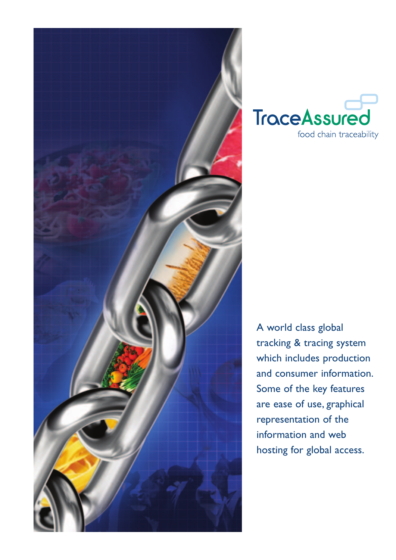



A world class global tracking & tracing system which includes production and consumer information. Some of the key features are ease of use, graphical representation of the information and web hosting for global access.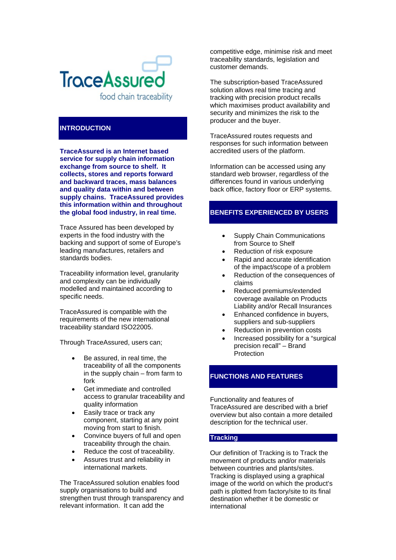

## **INTRODUCTION**

**TraceAssured is an Internet based service for supply chain information exchange from source to shelf. It collects, stores and reports forward and backward traces, mass balances and quality data within and between supply chains. TraceAssured provides this information within and throughout the global food industry, in real time.** 

Trace Assured has been developed by experts in the food industry with the backing and support of some of Europe's leading manufactures, retailers and standards bodies.

Traceability information level, granularity and complexity can be individually modelled and maintained according to specific needs.

TraceAssured is compatible with the requirements of the new international traceability standard ISO22005.

Through TraceAssured, users can;

- Be assured, in real time, the traceability of all the components in the supply chain – from farm to fork
- Get immediate and controlled access to granular traceability and quality information
- Easily trace or track any component, starting at any point moving from start to finish.
- Convince buyers of full and open traceability through the chain.
- Reduce the cost of traceability.
- Assures trust and reliability in international markets.

The TraceAssured solution enables food supply organisations to build and strengthen trust through transparency and relevant information. It can add the

competitive edge, minimise risk and meet traceability standards, legislation and customer demands.

The subscription-based TraceAssured solution allows real time tracing and tracking with precision product recalls which maximises product availability and security and minimizes the risk to the producer and the buyer.

TraceAssured routes requests and responses for such information between accredited users of the platform.

Information can be accessed using any standard web browser, regardless of the differences found in various underlying back office, factory floor or ERP systems.

# **BENEFITS EXPERIENCED BY USERS**

- Supply Chain Communications from Source to Shelf
- Reduction of risk exposure
- Rapid and accurate identification of the impact/scope of a problem
- Reduction of the consequences of claims
- Reduced premiums/extended coverage available on Products Liability and/or Recall Insurances
- Enhanced confidence in buyers, suppliers and sub-suppliers
- Reduction in prevention costs
- Increased possibility for a "surgical precision recall" – Brand **Protection**

# **FUNCTIONS AND FEATURES**

Functionality and features of TraceAssured are described with a brief overview but also contain a more detailed description for the technical user.

## **Tracking**

Our definition of Tracking is to Track the movement of products and/or materials between countries and plants/sites. Tracking is displayed using a graphical image of the world on which the product's path is plotted from factory/site to its final destination whether it be domestic or international